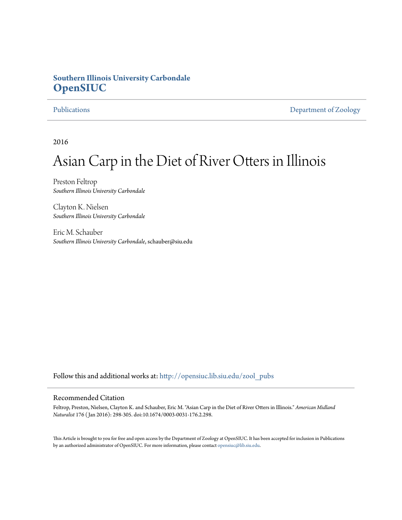## **Southern Illinois University Carbondale [OpenSIUC](http://opensiuc.lib.siu.edu?utm_source=opensiuc.lib.siu.edu%2Fzool_pubs%2F113&utm_medium=PDF&utm_campaign=PDFCoverPages)**

[Publications](http://opensiuc.lib.siu.edu/zool_pubs?utm_source=opensiuc.lib.siu.edu%2Fzool_pubs%2F113&utm_medium=PDF&utm_campaign=PDFCoverPages) [Department of Zoology](http://opensiuc.lib.siu.edu/zool?utm_source=opensiuc.lib.siu.edu%2Fzool_pubs%2F113&utm_medium=PDF&utm_campaign=PDFCoverPages)

2016

# Asian Carp in the Diet of River Otters in Illinois

Preston Feltrop *Southern Illinois University Carbondale*

Clayton K. Nielsen *Southern Illinois University Carbondale*

Eric M. Schauber *Southern Illinois University Carbondale*, schauber@siu.edu

Follow this and additional works at: [http://opensiuc.lib.siu.edu/zool\\_pubs](http://opensiuc.lib.siu.edu/zool_pubs?utm_source=opensiuc.lib.siu.edu%2Fzool_pubs%2F113&utm_medium=PDF&utm_campaign=PDFCoverPages)

#### Recommended Citation

Feltrop, Preston, Nielsen, Clayton K. and Schauber, Eric M. "Asian Carp in the Diet of River Otters in Illinois." *American Midland Naturalist* 176 ( Jan 2016): 298-305. doi:10.1674/0003-0031-176.2.298.

This Article is brought to you for free and open access by the Department of Zoology at OpenSIUC. It has been accepted for inclusion in Publications by an authorized administrator of OpenSIUC. For more information, please contact [opensiuc@lib.siu.edu.](mailto:opensiuc@lib.siu.edu)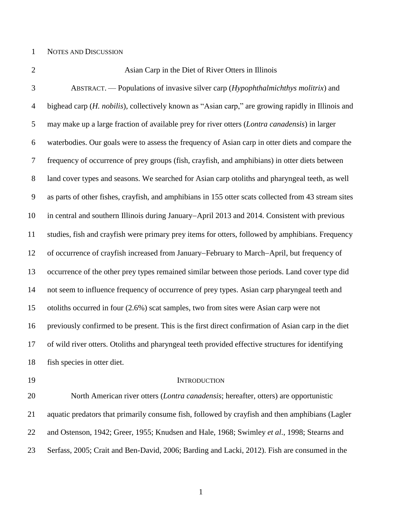#### NOTES AND DISCUSSION

### Asian Carp in the Diet of River Otters in Illinois

 ABSTRACT. — Populations of invasive silver carp (*Hypophthalmichthys molitrix*) and bighead carp (*H. nobilis*), collectively known as "Asian carp," are growing rapidly in Illinois and may make up a large fraction of available prey for river otters (*Lontra canadensis*) in larger waterbodies. Our goals were to assess the frequency of Asian carp in otter diets and compare the frequency of occurrence of prey groups (fish, crayfish, and amphibians) in otter diets between land cover types and seasons. We searched for Asian carp otoliths and pharyngeal teeth, as well as parts of other fishes, crayfish, and amphibians in 155 otter scats collected from 43 stream sites 10 in central and southern Illinois during January–April 2013 and 2014. Consistent with previous studies, fish and crayfish were primary prey items for otters, followed by amphibians. Frequency 12 of occurrence of crayfish increased from January–February to March–April, but frequency of occurrence of the other prey types remained similar between those periods. Land cover type did not seem to influence frequency of occurrence of prey types. Asian carp pharyngeal teeth and otoliths occurred in four (2.6%) scat samples, two from sites were Asian carp were not previously confirmed to be present. This is the first direct confirmation of Asian carp in the diet of wild river otters. Otoliths and pharyngeal teeth provided effective structures for identifying fish species in otter diet.

### 19 INTRODUCTION

 North American river otters (*Lontra canadensis*; hereafter, otters) are opportunistic aquatic predators that primarily consume fish, followed by crayfish and then amphibians (Lagler and Ostenson, 1942; Greer, 1955; Knudsen and Hale, 1968; Swimley *et al*., 1998; Stearns and Serfass, 2005; Crait and Ben-David, 2006; Barding and Lacki, 2012). Fish are consumed in the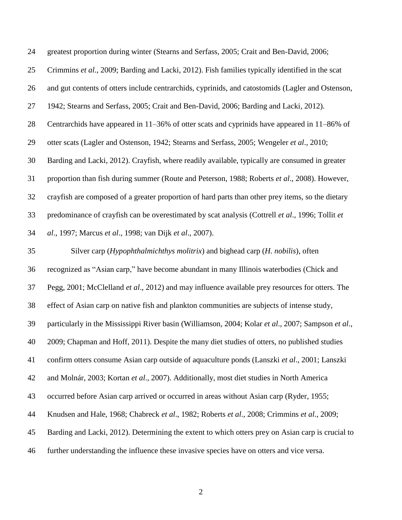| 24 | greatest proportion during winter (Stearns and Serfass, 2005; Crait and Ben-David, 2006;           |
|----|----------------------------------------------------------------------------------------------------|
| 25 | Crimmins et al., 2009; Barding and Lacki, 2012). Fish families typically identified in the scat    |
| 26 | and gut contents of otters include centrarchids, cyprinids, and catostomids (Lagler and Ostenson,  |
| 27 | 1942; Stearns and Serfass, 2005; Crait and Ben-David, 2006; Barding and Lacki, 2012).              |
| 28 | Centrarchids have appeared in 11–36% of otter scats and cyprinids have appeared in 11–86% of       |
| 29 | otter scats (Lagler and Ostenson, 1942; Stearns and Serfass, 2005; Wengeler et al., 2010;          |
| 30 | Barding and Lacki, 2012). Crayfish, where readily available, typically are consumed in greater     |
| 31 | proportion than fish during summer (Route and Peterson, 1988; Roberts et al., 2008). However,      |
| 32 | crayfish are composed of a greater proportion of hard parts than other prey items, so the dietary  |
| 33 | predominance of crayfish can be overestimated by scat analysis (Cottrell et al., 1996; Tollit et   |
| 34 | al., 1997; Marcus et al., 1998; van Dijk et al., 2007).                                            |
| 35 | Silver carp (Hypophthalmichthys molitrix) and bighead carp (H. nobilis), often                     |
| 36 | recognized as "Asian carp," have become abundant in many Illinois waterbodies (Chick and           |
| 37 | Pegg, 2001; McClelland et al., 2012) and may influence available prey resources for otters. The    |
| 38 | effect of Asian carp on native fish and plankton communities are subjects of intense study,        |
| 39 | particularly in the Mississippi River basin (Williamson, 2004; Kolar et al., 2007; Sampson et al., |
| 40 | 2009; Chapman and Hoff, 2011). Despite the many diet studies of otters, no published studies       |
| 41 | confirm otters consume Asian carp outside of aquaculture ponds (Lanszki et al., 2001; Lanszki      |
| 42 | and Molnár, 2003; Kortan et al., 2007). Additionally, most diet studies in North America           |
| 43 | occurred before Asian carp arrived or occurred in areas without Asian carp (Ryder, 1955;           |
| 44 | Knudsen and Hale, 1968; Chabreck et al., 1982; Roberts et al., 2008; Crimmins et al., 2009;        |
| 45 | Barding and Lacki, 2012). Determining the extent to which otters prey on Asian carp is crucial to  |
| 46 | further understanding the influence these invasive species have on otters and vice versa.          |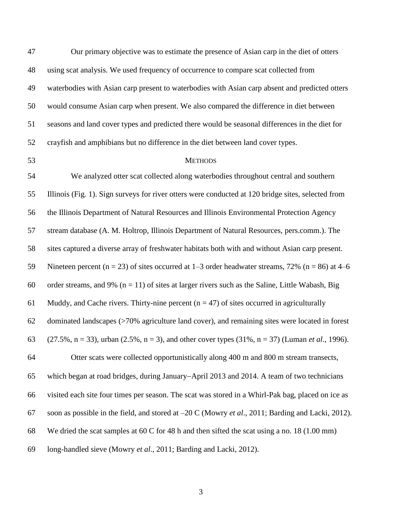| 47 | Our primary objective was to estimate the presence of Asian carp in the diet of otters                              |
|----|---------------------------------------------------------------------------------------------------------------------|
| 48 | using scat analysis. We used frequency of occurrence to compare scat collected from                                 |
| 49 | waterbodies with Asian carp present to waterbodies with Asian carp absent and predicted otters                      |
| 50 | would consume Asian carp when present. We also compared the difference in diet between                              |
| 51 | seasons and land cover types and predicted there would be seasonal differences in the diet for                      |
| 52 | crayfish and amphibians but no difference in the diet between land cover types.                                     |
| 53 | <b>METHODS</b>                                                                                                      |
| 54 | We analyzed otter scat collected along waterbodies throughout central and southern                                  |
| 55 | Illinois (Fig. 1). Sign surveys for river otters were conducted at 120 bridge sites, selected from                  |
| 56 | the Illinois Department of Natural Resources and Illinois Environmental Protection Agency                           |
| 57 | stream database (A. M. Holtrop, Illinois Department of Natural Resources, pers.comm.). The                          |
| 58 | sites captured a diverse array of freshwater habitats both with and without Asian carp present.                     |
| 59 | Nineteen percent ( $n = 23$ ) of sites occurred at 1–3 order headwater streams, 72% ( $n = 86$ ) at 4–6             |
| 60 | order streams, and 9% ( $n = 11$ ) of sites at larger rivers such as the Saline, Little Wabash, Big                 |
| 61 | Muddy, and Cache rivers. Thirty-nine percent ( $n = 47$ ) of sites occurred in agriculturally                       |
| 62 | dominated landscapes (>70% agriculture land cover), and remaining sites were located in forest                      |
| 63 | $(27.5\%, n = 33)$ , urban $(2.5\%, n = 3)$ , and other cover types $(31\%, n = 37)$ (Luman <i>et al.</i> , 1996).  |
| 64 | Otter scats were collected opportunistically along 400 m and 800 m stream transects,                                |
| 65 | which began at road bridges, during January–April 2013 and 2014. A team of two technicians                          |
| 66 | visited each site four times per season. The scat was stored in a Whirl-Pak bag, placed on ice as                   |
| 67 | soon as possible in the field, and stored at $-20 \text{ C}$ (Mowry <i>et al.</i> , 2011; Barding and Lacki, 2012). |
| 68 | We dried the scat samples at 60 C for 48 h and then sifted the scat using a no. 18 $(1.00 \text{ mm})$              |
| 69 | long-handled sieve (Mowry et al., 2011; Barding and Lacki, 2012).                                                   |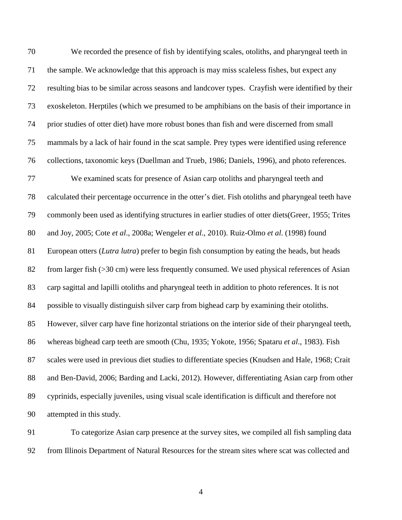We recorded the presence of fish by identifying scales, otoliths, and pharyngeal teeth in the sample. We acknowledge that this approach is may miss scaleless fishes, but expect any resulting bias to be similar across seasons and landcover types. Crayfish were identified by their exoskeleton. Herptiles (which we presumed to be amphibians on the basis of their importance in prior studies of otter diet) have more robust bones than fish and were discerned from small mammals by a lack of hair found in the scat sample. Prey types were identified using reference collections, taxonomic keys (Duellman and Trueb, 1986; Daniels, 1996), and photo references. We examined scats for presence of Asian carp otoliths and pharyngeal teeth and calculated their percentage occurrence in the otter's diet. Fish otoliths and pharyngeal teeth have commonly been used as identifying structures in earlier studies of otter diets(Greer, 1955; Trites and Joy, 2005; Cote *et al*., 2008a; Wengeler *et al*., 2010). Ruiz-Olmo *et al*. (1998) found European otters (*Lutra lutra*) prefer to begin fish consumption by eating the heads, but heads from larger fish (>30 cm) were less frequently consumed. We used physical references of Asian carp sagittal and lapilli otoliths and pharyngeal teeth in addition to photo references. It is not possible to visually distinguish silver carp from bighead carp by examining their otoliths. However, silver carp have fine horizontal striations on the interior side of their pharyngeal teeth, whereas bighead carp teeth are smooth (Chu, 1935; Yokote, 1956; Spataru *et al*., 1983). Fish scales were used in previous diet studies to differentiate species (Knudsen and Hale, 1968; Crait and Ben-David, 2006; Barding and Lacki, 2012). However, differentiating Asian carp from other cyprinids, especially juveniles, using visual scale identification is difficult and therefore not attempted in this study.

 To categorize Asian carp presence at the survey sites, we compiled all fish sampling data from Illinois Department of Natural Resources for the stream sites where scat was collected and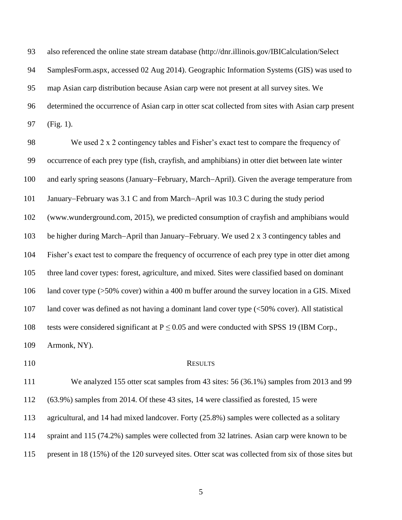also referenced the online state stream database (http://dnr.illinois.gov/IBICalculation/Select SamplesForm.aspx, accessed 02 Aug 2014). Geographic Information Systems (GIS) was used to map Asian carp distribution because Asian carp were not present at all survey sites. We determined the occurrence of Asian carp in otter scat collected from sites with Asian carp present (Fig. 1).

 We used 2 x 2 contingency tables and Fisher's exact test to compare the frequency of occurrence of each prey type (fish, crayfish, and amphibians) in otter diet between late winter 100 and early spring seasons (January–February, March–April). Given the average temperature from 101 January–February was 3.1 C and from March–April was 10.3 C during the study period (www.wunderground.com, 2015), we predicted consumption of crayfish and amphibians would 103 be higher during March-April than January-February. We used 2 x 3 contingency tables and Fisher's exact test to compare the frequency of occurrence of each prey type in otter diet among three land cover types: forest, agriculture, and mixed. Sites were classified based on dominant land cover type (>50% cover) within a 400 m buffer around the survey location in a GIS. Mixed land cover was defined as not having a dominant land cover type (<50% cover). All statistical 108 tests were considered significant at  $P \le 0.05$  and were conducted with SPSS 19 (IBM Corp., Armonk, NY).

#### 110 RESULTS

 We analyzed 155 otter scat samples from 43 sites: 56 (36.1%) samples from 2013 and 99 (63.9%) samples from 2014. Of these 43 sites, 14 were classified as forested, 15 were agricultural, and 14 had mixed landcover. Forty (25.8%) samples were collected as a solitary spraint and 115 (74.2%) samples were collected from 32 latrines. Asian carp were known to be present in 18 (15%) of the 120 surveyed sites. Otter scat was collected from six of those sites but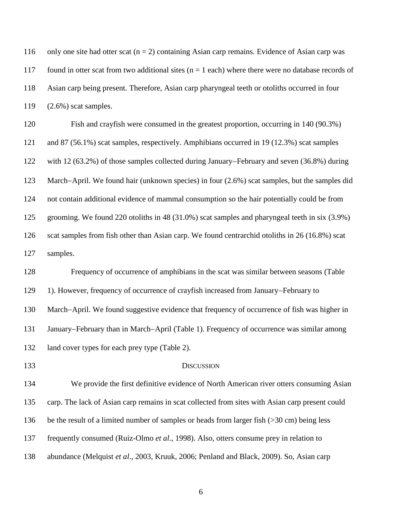| 116 | only one site had otter scat ( $n = 2$ ) containing Asian carp remains. Evidence of Asian carp was   |
|-----|------------------------------------------------------------------------------------------------------|
| 117 | found in otter scat from two additional sites $(n = 1$ each) where there were no database records of |
| 118 | Asian carp being present. Therefore, Asian carp pharyngeal teeth or otoliths occurred in four        |
| 119 | $(2.6\%)$ scat samples.                                                                              |

 Fish and crayfish were consumed in the greatest proportion, occurring in 140 (90.3%) and 87 (56.1%) scat samples, respectively. Amphibians occurred in 19 (12.3%) scat samples 122 with 12 (63.2%) of those samples collected during January–February and seven (36.8%) during 123 March-April. We found hair (unknown species) in four (2.6%) scat samples, but the samples did not contain additional evidence of mammal consumption so the hair potentially could be from grooming. We found 220 otoliths in 48 (31.0%) scat samples and pharyngeal teeth in six (3.9%) 126 scat samples from fish other than Asian carp. We found centrarchid otoliths in 26 (16.8%) scat samples.

 Frequency of occurrence of amphibians in the scat was similar between seasons (Table 129 1). However, frequency of occurrence of crayfish increased from January–February to 130 March-April. We found suggestive evidence that frequency of occurrence of fish was higher in 131 January–February than in March–April (Table 1). Frequency of occurrence was similar among land cover types for each prey type (Table 2).

#### DISCUSSION

 We provide the first definitive evidence of North American river otters consuming Asian carp. The lack of Asian carp remains in scat collected from sites with Asian carp present could be the result of a limited number of samples or heads from larger fish (>30 cm) being less frequently consumed (Ruiz-Olmo *et al*., 1998). Also, otters consume prey in relation to abundance (Melquist *et al*., 2003, Kruuk, 2006; Penland and Black, 2009). So, Asian carp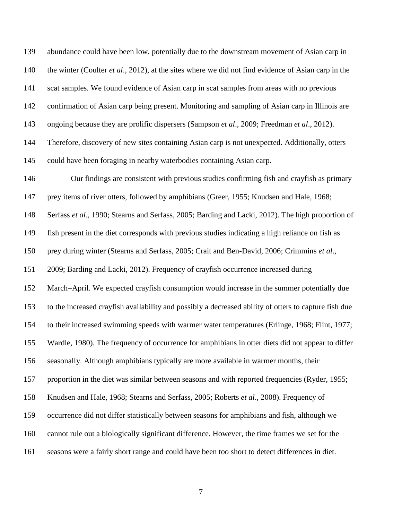abundance could have been low, potentially due to the downstream movement of Asian carp in the winter (Coulter *et al*., 2012), at the sites where we did not find evidence of Asian carp in the scat samples. We found evidence of Asian carp in scat samples from areas with no previous confirmation of Asian carp being present. Monitoring and sampling of Asian carp in Illinois are ongoing because they are prolific dispersers (Sampson *et al*., 2009; Freedman *et al*., 2012). Therefore, discovery of new sites containing Asian carp is not unexpected. Additionally, otters could have been foraging in nearby waterbodies containing Asian carp. Our findings are consistent with previous studies confirming fish and crayfish as primary prey items of river otters, followed by amphibians (Greer, 1955; Knudsen and Hale, 1968; Serfass *et al*., 1990; Stearns and Serfass, 2005; Barding and Lacki, 2012). The high proportion of fish present in the diet corresponds with previous studies indicating a high reliance on fish as prey during winter (Stearns and Serfass, 2005; Crait and Ben-David, 2006; Crimmins *et al*., 2009; Barding and Lacki, 2012). Frequency of crayfish occurrence increased during 152 March-April. We expected crayfish consumption would increase in the summer potentially due to the increased crayfish availability and possibly a decreased ability of otters to capture fish due to their increased swimming speeds with warmer water temperatures (Erlinge, 1968; Flint, 1977; Wardle, 1980). The frequency of occurrence for amphibians in otter diets did not appear to differ seasonally. Although amphibians typically are more available in warmer months, their proportion in the diet was similar between seasons and with reported frequencies (Ryder, 1955; Knudsen and Hale, 1968; Stearns and Serfass, 2005; Roberts *et al*., 2008). Frequency of occurrence did not differ statistically between seasons for amphibians and fish, although we cannot rule out a biologically significant difference. However, the time frames we set for the seasons were a fairly short range and could have been too short to detect differences in diet.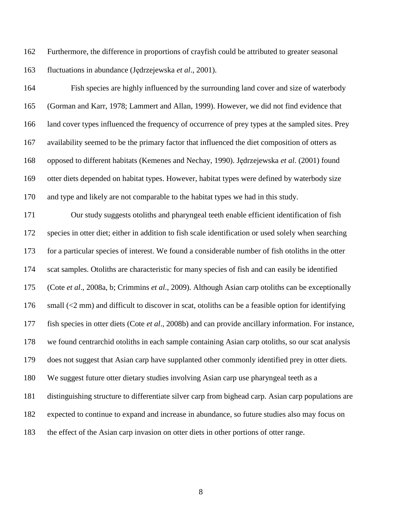Furthermore, the difference in proportions of crayfish could be attributed to greater seasonal fluctuations in abundance (Jędrzejewska *et al*., 2001).

 Fish species are highly influenced by the surrounding land cover and size of waterbody (Gorman and Karr, 1978; Lammert and Allan, 1999). However, we did not find evidence that land cover types influenced the frequency of occurrence of prey types at the sampled sites. Prey availability seemed to be the primary factor that influenced the diet composition of otters as opposed to different habitats (Kemenes and Nechay, 1990). Jędrzejewska *et al*. (2001) found otter diets depended on habitat types. However, habitat types were defined by waterbody size and type and likely are not comparable to the habitat types we had in this study.

 Our study suggests otoliths and pharyngeal teeth enable efficient identification of fish species in otter diet; either in addition to fish scale identification or used solely when searching for a particular species of interest. We found a considerable number of fish otoliths in the otter scat samples. Otoliths are characteristic for many species of fish and can easily be identified (Cote *et al*., 2008a, b; Crimmins *et al*., 2009). Although Asian carp otoliths can be exceptionally 176 small (<2 mm) and difficult to discover in scat, otoliths can be a feasible option for identifying fish species in otter diets (Cote *et al*., 2008b) and can provide ancillary information. For instance, we found centrarchid otoliths in each sample containing Asian carp otoliths, so our scat analysis does not suggest that Asian carp have supplanted other commonly identified prey in otter diets. We suggest future otter dietary studies involving Asian carp use pharyngeal teeth as a distinguishing structure to differentiate silver carp from bighead carp. Asian carp populations are expected to continue to expand and increase in abundance, so future studies also may focus on the effect of the Asian carp invasion on otter diets in other portions of otter range.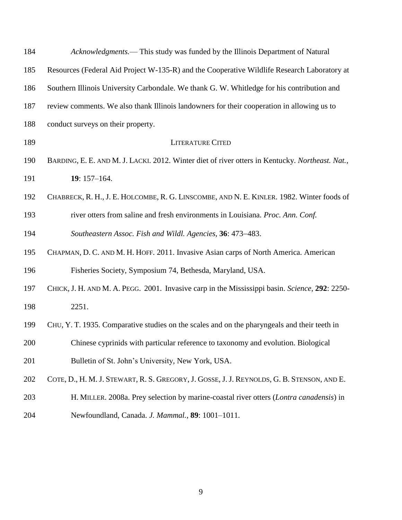| 184 | Acknowledgments.— This study was funded by the Illinois Department of Natural                   |  |  |  |  |
|-----|-------------------------------------------------------------------------------------------------|--|--|--|--|
| 185 | Resources (Federal Aid Project W-135-R) and the Cooperative Wildlife Research Laboratory at     |  |  |  |  |
| 186 | Southern Illinois University Carbondale. We thank G. W. Whitledge for his contribution and      |  |  |  |  |
| 187 | review comments. We also thank Illinois landowners for their cooperation in allowing us to      |  |  |  |  |
| 188 | conduct surveys on their property.                                                              |  |  |  |  |
| 189 | <b>LITERATURE CITED</b>                                                                         |  |  |  |  |
| 190 | BARDING, E. E. AND M. J. LACKI. 2012. Winter diet of river otters in Kentucky. Northeast. Nat., |  |  |  |  |
| 191 | $19:157-164.$                                                                                   |  |  |  |  |
| 192 | CHABRECK, R. H., J. E. HOLCOMBE, R. G. LINSCOMBE, AND N. E. KINLER. 1982. Winter foods of       |  |  |  |  |
| 193 | river otters from saline and fresh environments in Louisiana. Proc. Ann. Conf.                  |  |  |  |  |
| 194 | Southeastern Assoc. Fish and Wildl. Agencies, 36: 473–483.                                      |  |  |  |  |
| 195 | CHAPMAN, D. C. AND M. H. HOFF. 2011. Invasive Asian carps of North America. American            |  |  |  |  |
| 196 | Fisheries Society, Symposium 74, Bethesda, Maryland, USA.                                       |  |  |  |  |
| 197 | CHICK, J. H. AND M. A. PEGG. 2001. Invasive carp in the Mississippi basin. Science, 292: 2250-  |  |  |  |  |
| 198 | 2251.                                                                                           |  |  |  |  |
| 199 | CHU, Y. T. 1935. Comparative studies on the scales and on the pharyngeals and their teeth in    |  |  |  |  |
| 200 | Chinese cyprinids with particular reference to taxonomy and evolution. Biological               |  |  |  |  |
| 201 | Bulletin of St. John's University, New York, USA.                                               |  |  |  |  |
| 202 | COTE, D., H. M. J. STEWART, R. S. GREGORY, J. GOSSE, J. J. REYNOLDS, G. B. STENSON, AND E.      |  |  |  |  |
| 203 | H. MILLER. 2008a. Prey selection by marine-coastal river otters (Lontra canadensis) in          |  |  |  |  |
| 204 | Newfoundland, Canada. J. Mammal., 89: 1001-1011.                                                |  |  |  |  |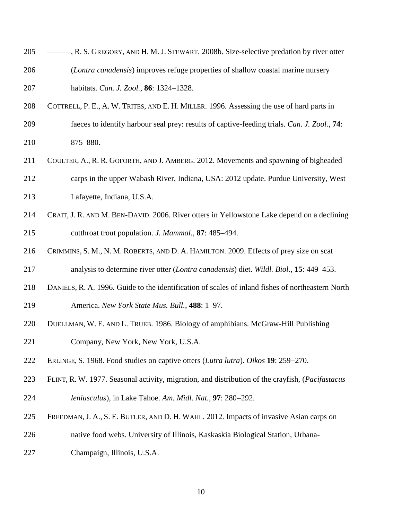- ———, R. S. GREGORY, AND H. M. J. STEWART. 2008b. Size-selective predation by river otter
- (*Lontra canadensis*) improves refuge properties of shallow coastal marine nursery habitats. *Can. J. Zool.*, **86**: 1324–1328.
- COTTRELL, P. E., A. W. TRITES, AND E. H. MILLER. 1996. Assessing the use of hard parts in
- faeces to identify harbour seal prey: results of captive-feeding trials. *Can. J. Zool.*, **74**: 875–880.
- COULTER, A., R. R. GOFORTH, AND J. AMBERG. 2012. Movements and spawning of bigheaded carps in the upper Wabash River, Indiana, USA: 2012 update. Purdue University, West Lafayette, Indiana, U.S.A.
- CRAIT, J. R. AND M. BEN-DAVID. 2006. River otters in Yellowstone Lake depend on a declining cutthroat trout population. *J. Mammal.*, **87**: 485–494.
- CRIMMINS, S. M., N. M. ROBERTS, AND D. A. HAMILTON. 2009. Effects of prey size on scat
- analysis to determine river otter (*Lontra canadensis*) diet. *Wildl. Biol.*, **15**: 449–453.
- DANIELS, R. A. 1996. Guide to the identification of scales of inland fishes of northeastern North America. *New York State Mus. Bull.*, **488**: 1–97.
- DUELLMAN, W. E. AND L. TRUEB. 1986. Biology of amphibians. McGraw-Hill Publishing
- Company, New York, New York, U.S.A.
- 222 ERLINGE, S. 1968. Food studies on captive otters (*Lutra lutra*). *Oikos* 19: 259–270.
- FLINT, R. W. 1977. Seasonal activity, migration, and distribution of the crayfish, (*Pacifastacus leniusculus*), in Lake Tahoe. *Am. Midl. Nat.*, **97**: 280–292.
- FREEDMAN, J. A., S. E. BUTLER, AND D. H. WAHL. 2012. Impacts of invasive Asian carps on
- native food webs. University of Illinois, Kaskaskia Biological Station, Urbana-
- Champaign, Illinois, U.S.A.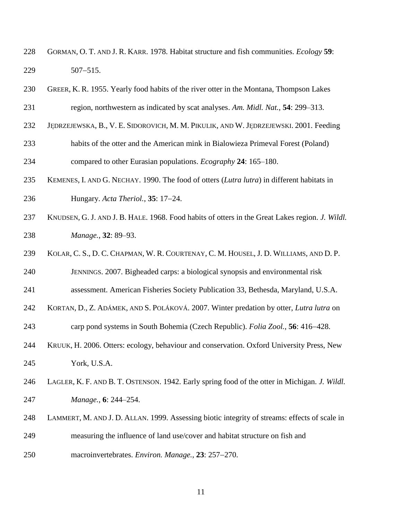- GORMAN, O. T. AND J. R. KARR. 1978. Habitat structure and fish communities. *Ecology* **59**:  $507-515$ .
- GREER, K. R. 1955. Yearly food habits of the river otter in the Montana, Thompson Lakes
- region, northwestern as indicated by scat analyses. *Am. Midl. Nat.*, **54**: 299–313.
- JĘDRZEJEWSKA, B., V. E. SIDOROVICH, M. M. PIKULIK, AND W. JĘDRZEJEWSKI. 2001. Feeding
- habits of the otter and the American mink in Bialowieza Primeval Forest (Poland) compared to other Eurasian populations. *Ecography* **24**: 165–180.
- KEMENES, I. AND G. NECHAY. 1990. The food of otters (*Lutra lutra*) in different habitats in **Hungary.** *Acta Theriol.*, **35**: 17–24.
- KNUDSEN, G. J. AND J. B. HALE. 1968. Food habits of otters in the Great Lakes region. *J. Wildl. Manage.*, **32**: 89–93.
- KOLAR, C. S., D. C. CHAPMAN, W. R. COURTENAY, C. M. HOUSEL, J. D. WILLIAMS, AND D. P.

JENNINGS. 2007. Bigheaded carps: a biological synopsis and environmental risk

- assessment. American Fisheries Society Publication 33, Bethesda, Maryland, U.S.A.
- KORTAN, D., Z. ADÁMEK, AND S. POLÁKOVÁ. 2007. Winter predation by otter, *Lutra lutra* on
- 243 carp pond systems in South Bohemia (Czech Republic). *Folia Zool.*, **56**: 416–428.
- KRUUK, H. 2006. Otters: ecology, behaviour and conservation. Oxford University Press, New York, U.S.A.
- LAGLER, K. F. AND B. T. OSTENSON. 1942. Early spring food of the otter in Michigan. *J. Wildl. Manage.*, **6**: 244–254.
- LAMMERT, M. AND J. D. ALLAN. 1999. Assessing biotic integrity of streams: effects of scale in
- measuring the influence of land use/cover and habitat structure on fish and
- 250 macroinvertebrates. *Environ. Manage.*, 23: 257–270.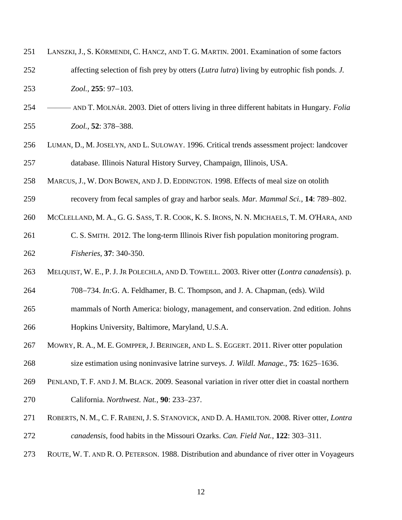| 251 | LANSZKI, J., S. KÖRMENDI, C. HANCZ, AND T. G. MARTIN. 2001. Examination of some factors            |
|-----|----------------------------------------------------------------------------------------------------|
| 252 | affecting selection of fish prey by otters <i>(Lutra lutra)</i> living by eutrophic fish ponds. J. |
| 253 | $Zool., 255: 97-103.$                                                                              |

- ——— AND T. MOLNÁR. 2003. Diet of otters living in three different habitats in Hungary. *Folia Zool.*, **52**: 378–388.
- LUMAN, D., M. JOSELYN, AND L. SULOWAY. 1996. Critical trends assessment project: landcover database. Illinois Natural History Survey, Champaign, Illinois, USA.
- MARCUS, J., W. DON BOWEN, AND J. D. EDDINGTON. 1998. Effects of meal size on otolith
- recovery from fecal samples of gray and harbor seals. *Mar. Mammal Sci.*, **14**: 789–802.
- 260 MCCLELLAND, M. A., G. G. SASS, T. R. COOK, K. S. IRONS, N. N. MICHAELS, T. M. O'HARA, AND
- C. S. SMITH. 2012. The long-term Illinois River fish population monitoring program. *Fisheries*, **37**: 340-350.
- MELQUIST, W. E., P.J.JR POLECHLA, AND D. TOWEILL. 2003. River otter (*Lontra canadensis*). p.
- 708734. *In:*G. A. Feldhamer, B. C. Thompson, and J. A. Chapman, (eds). Wild
- mammals of North America: biology, management, and conservation. 2nd edition. Johns Hopkins University, Baltimore, Maryland, U.S.A.
- 267 MOWRY, R. A., M. E. GOMPPER, J. BERINGER, AND L. S. EGGERT. 2011. River otter population size estimation using noninvasive latrine surveys. *J. Wildl. Manage.*, **75**: 1625–1636.
- PENLAND, T. F. AND J. M. BLACK. 2009. Seasonal variation in river otter diet in coastal northern California. *Northwest. Nat.*, **90**: 233–237.
- ROBERTS, N. M., C. F. RABENI, J. S. STANOVICK, AND D. A. HAMILTON. 2008*.* River otter, *Lontra canadensis*, food habits in the Missouri Ozarks. *Can. Field Nat.*, **122**: 303–311.
- ROUTE, W. T. AND R. O. PETERSON. 1988. Distribution and abundance of river otter in Voyageurs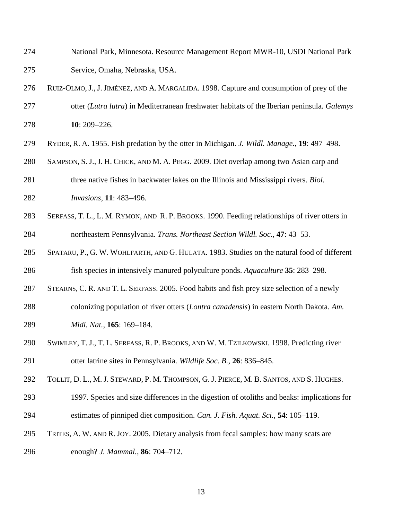- National Park, Minnesota. Resource Management Report MWR-10, USDI National Park Service, Omaha, Nebraska, USA.
- RUIZ-OLMO, J.,J.JIMÉNEZ, AND A. MARGALIDA. 1998. Capture and consumption of prey of the otter (*Lutra lutra*) in Mediterranean freshwater habitats of the Iberian peninsula. *Galemys* **10**: 209–226.
- RYDER, R. A. 1955. Fish predation by the otter in Michigan. *J. Wildl. Manage.*, **19**: 497–498.
- SAMPSON, S. J.,J. H. CHICK, AND M. A. PEGG. 2009. Diet overlap among two Asian carp and
- three native fishes in backwater lakes on the Illinois and Mississippi rivers. *Biol.*
- *Invasions,* **11**: 483–496.
- SERFASS, T. L., L. M. RYMON, AND R. P. BROOKS. 1990. Feeding relationships of river otters in northeastern Pennsylvania. *Trans. Northeast Section Wildl. Soc.*, **47**: 43–53.
- SPATARU, P., G. W. WOHLFARTH, AND G. HULATA. 1983. Studies on the natural food of different fish species in intensively manured polyculture ponds. *Aquaculture* **35**: 283–298.
- STEARNS, C. R. AND T. L. SERFASS. 2005. Food habits and fish prey size selection of a newly
- colonizing population of river otters (*Lontra canadensis*) in eastern North Dakota. *Am. Midl. Nat.*, **165**: 169–184.
- SWIMLEY, T. J., T. L. SERFASS, R. P. BROOKS, AND W. M. TZILKOWSKI. 1998. Predicting river otter latrine sites in Pennsylvania. *Wildlife Soc. B.*, **26**: 836–845.
- TOLLIT, D. L., M. J. STEWARD, P. M. THOMPSON, G. J. PIERCE, M. B. SANTOS, AND S. HUGHES.
- 1997. Species and size differences in the digestion of otoliths and beaks: implications for estimates of pinniped diet composition. *Can. J. Fish. Aquat. Sci.*, **54**: 105–119.
- TRITES, A. W. AND R. JOY. 2005. Dietary analysis from fecal samples: how many scats are enough? *J. Mammal.*, **86**: 704–712.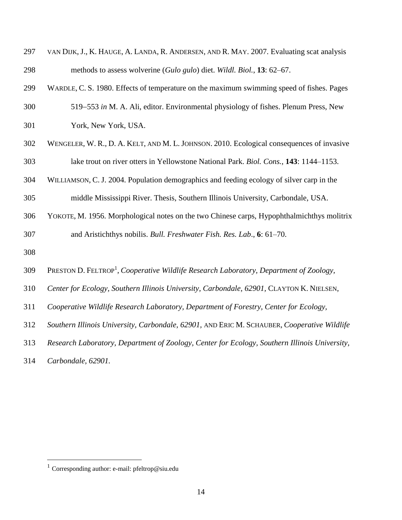| 297 | VAN DIJK, J., K. HAUGE, A. LANDA, R. ANDERSEN, AND R. MAY. 2007. Evaluating scat analysis          |
|-----|----------------------------------------------------------------------------------------------------|
| 298 | methods to assess wolverine (Gulo gulo) diet. Wildl. Biol., 13: 62–67.                             |
| 299 | WARDLE, C. S. 1980. Effects of temperature on the maximum swimming speed of fishes. Pages          |
| 300 | 519–553 in M. A. Ali, editor. Environmental physiology of fishes. Plenum Press, New                |
| 301 | York, New York, USA.                                                                               |
| 302 | WENGELER, W. R., D. A. KELT, AND M. L. JOHNSON. 2010. Ecological consequences of invasive          |
| 303 | lake trout on river otters in Yellowstone National Park. Biol. Cons., 143: 1144–1153.              |
| 304 | WILLIAMSON, C. J. 2004. Population demographics and feeding ecology of silver carp in the          |
| 305 | middle Mississippi River. Thesis, Southern Illinois University, Carbondale, USA.                   |
| 306 | YOKOTE, M. 1956. Morphological notes on the two Chinese carps, Hypophthalmichthys molitrix         |
| 307 | and Aristichthys nobilis. Bull. Freshwater Fish. Res. Lab., 6: 61-70.                              |
| 308 |                                                                                                    |
| 309 | PRESTON D. FELTROP <sup>1</sup> , Cooperative Wildlife Research Laboratory, Department of Zoology, |
| 310 | Center for Ecology, Southern Illinois University, Carbondale, 62901, CLAYTON K. NIELSEN,           |
| 311 | Cooperative Wildlife Research Laboratory, Department of Forestry, Center for Ecology,              |
| 312 | Southern Illinois University, Carbondale, 62901, AND ERIC M. SCHAUBER, Cooperative Wildlife        |
| 313 | Research Laboratory, Department of Zoology, Center for Ecology, Southern Illinois University,      |
| 314 | Carbondale, 62901.                                                                                 |

 $\overline{a}$ 

<sup>&</sup>lt;sup>1</sup> Corresponding author: e-mail: pfeltrop@siu.edu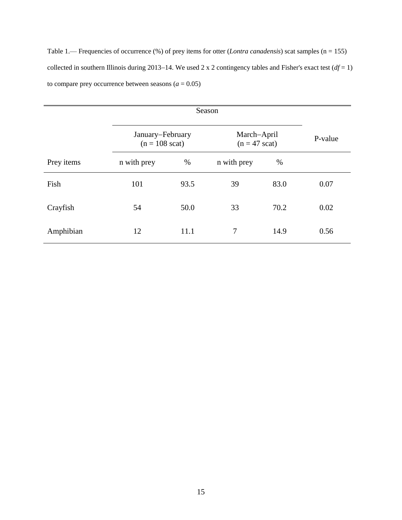Table 1.— Frequencies of occurrence (%) of prey items for otter (*Lontra canadensis*) scat samples (n = 155) collected in southern Illinois during 2013–14. We used 2 x 2 contingency tables and Fisher's exact test  $(df = 1)$ to compare prey occurrence between seasons  $(a = 0.05)$ 

|            | January-February<br>$(n = 108 \text{ scat})$ |      | March-April<br>$(n = 47 \text{ scat})$ | P-value |      |
|------------|----------------------------------------------|------|----------------------------------------|---------|------|
| Prey items | n with prey                                  | $\%$ | n with prey                            | %       |      |
| Fish       | 101                                          | 93.5 | 39                                     | 83.0    | 0.07 |
| Crayfish   | 54                                           | 50.0 | 33                                     | 70.2    | 0.02 |
| Amphibian  | 12                                           | 11.1 | 7                                      | 14.9    | 0.56 |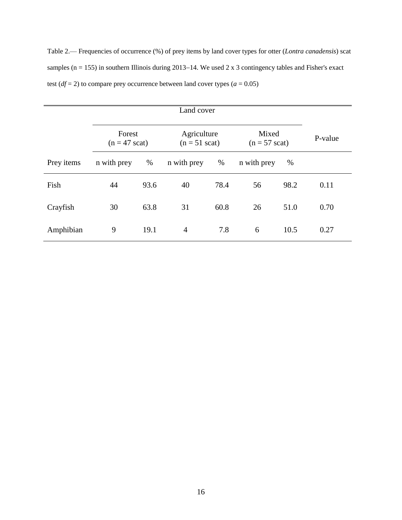Table 2.— Frequencies of occurrence (%) of prey items by land cover types for otter (*Lontra canadensis*) scat samples ( $n = 155$ ) in southern Illinois during 2013–14. We used 2 x 3 contingency tables and Fisher's exact test ( $df = 2$ ) to compare prey occurrence between land cover types ( $a = 0.05$ )

| Land cover |                                   |      |                                        |      |                                  |      |         |
|------------|-----------------------------------|------|----------------------------------------|------|----------------------------------|------|---------|
|            | Forest<br>$(n = 47 \text{ scat})$ |      | Agriculture<br>$(n = 51 \text{ scat})$ |      | Mixed<br>$(n = 57 \text{ scat})$ |      | P-value |
| Prey items | n with prey                       | %    | n with prey                            | %    | n with prey                      | $\%$ |         |
| Fish       | 44                                | 93.6 | 40                                     | 78.4 | 56                               | 98.2 | 0.11    |
| Crayfish   | 30                                | 63.8 | 31                                     | 60.8 | 26                               | 51.0 | 0.70    |
| Amphibian  | 9                                 | 19.1 | $\overline{4}$                         | 7.8  | 6                                | 10.5 | 0.27    |